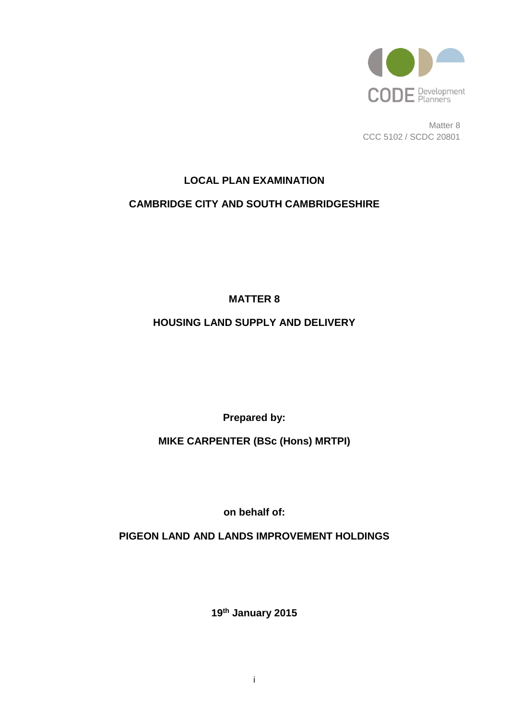

Matter 8 CCC 5102 / SCDC 20801

# **LOCAL PLAN EXAMINATION CAMBRIDGE CITY AND SOUTH CAMBRIDGESHIRE**

**MATTER 8**

# **HOUSING LAND SUPPLY AND DELIVERY**

**Prepared by:**

**MIKE CARPENTER (BSc (Hons) MRTPI)**

**on behalf of:**

**PIGEON LAND AND LANDS IMPROVEMENT HOLDINGS**

**19th January 2015**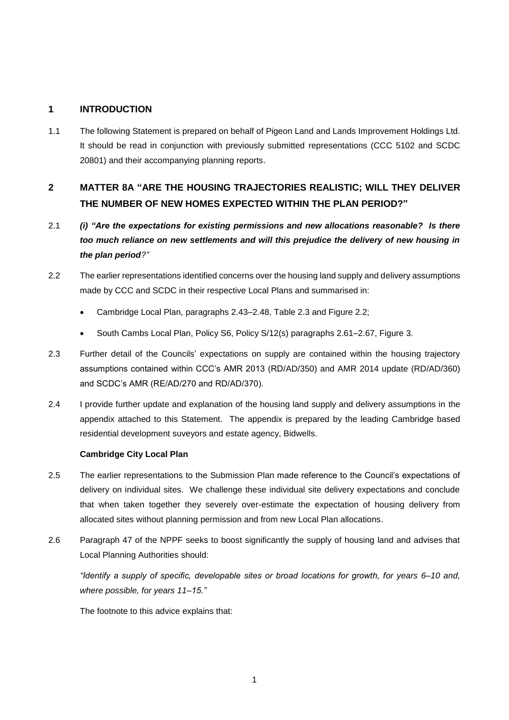## **1 INTRODUCTION**

1.1 The following Statement is prepared on behalf of Pigeon Land and Lands Improvement Holdings Ltd. It should be read in conjunction with previously submitted representations (CCC 5102 and SCDC 20801) and their accompanying planning reports.

# **2 MATTER 8A "ARE THE HOUSING TRAJECTORIES REALISTIC; WILL THEY DELIVER THE NUMBER OF NEW HOMES EXPECTED WITHIN THE PLAN PERIOD?"**

- 2.1 *(i) "Are the expectations for existing permissions and new allocations reasonable? Is there too much reliance on new settlements and will this prejudice the delivery of new housing in the plan period?"*
- 2.2 The earlier representations identified concerns over the housing land supply and delivery assumptions made by CCC and SCDC in their respective Local Plans and summarised in:
	- Cambridge Local Plan, paragraphs 2.43–2.48, Table 2.3 and Figure 2.2;
	- South Cambs Local Plan, Policy S6, Policy S/12(s) paragraphs 2.61–2.67, Figure 3.
- 2.3 Further detail of the Councils' expectations on supply are contained within the housing trajectory assumptions contained within CCC's AMR 2013 (RD/AD/350) and AMR 2014 update (RD/AD/360) and SCDC's AMR (RE/AD/270 and RD/AD/370).
- 2.4 I provide further update and explanation of the housing land supply and delivery assumptions in the appendix attached to this Statement. The appendix is prepared by the leading Cambridge based residential development suveyors and estate agency, Bidwells.

### **Cambridge City Local Plan**

- 2.5 The earlier representations to the Submission Plan made reference to the Council's expectations of delivery on individual sites. We challenge these individual site delivery expectations and conclude that when taken together they severely over-estimate the expectation of housing delivery from allocated sites without planning permission and from new Local Plan allocations.
- 2.6 Paragraph 47 of the NPPF seeks to boost significantly the supply of housing land and advises that Local Planning Authorities should:

*"Identify a supply of specific, developable sites or broad locations for growth, for years 6–10 and, where possible, for years 11–15."*

The footnote to this advice explains that: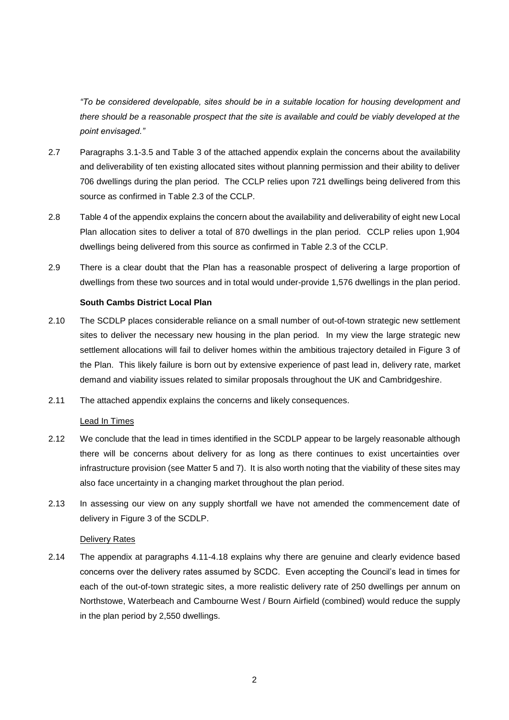*"To be considered developable, sites should be in a suitable location for housing development and there should be a reasonable prospect that the site is available and could be viably developed at the point envisaged."*

- 2.7 Paragraphs 3.1-3.5 and Table 3 of the attached appendix explain the concerns about the availability and deliverability of ten existing allocated sites without planning permission and their ability to deliver 706 dwellings during the plan period. The CCLP relies upon 721 dwellings being delivered from this source as confirmed in Table 2.3 of the CCLP.
- 2.8 Table 4 of the appendix explains the concern about the availability and deliverability of eight new Local Plan allocation sites to deliver a total of 870 dwellings in the plan period. CCLP relies upon 1,904 dwellings being delivered from this source as confirmed in Table 2.3 of the CCLP.
- 2.9 There is a clear doubt that the Plan has a reasonable prospect of delivering a large proportion of dwellings from these two sources and in total would under-provide 1,576 dwellings in the plan period.

### **South Cambs District Local Plan**

- 2.10 The SCDLP places considerable reliance on a small number of out-of-town strategic new settlement sites to deliver the necessary new housing in the plan period. In my view the large strategic new settlement allocations will fail to deliver homes within the ambitious trajectory detailed in Figure 3 of the Plan. This likely failure is born out by extensive experience of past lead in, delivery rate, market demand and viability issues related to similar proposals throughout the UK and Cambridgeshire.
- 2.11 The attached appendix explains the concerns and likely consequences.

#### Lead In Times

- 2.12 We conclude that the lead in times identified in the SCDLP appear to be largely reasonable although there will be concerns about delivery for as long as there continues to exist uncertainties over infrastructure provision (see Matter 5 and 7). It is also worth noting that the viability of these sites may also face uncertainty in a changing market throughout the plan period.
- 2.13 In assessing our view on any supply shortfall we have not amended the commencement date of delivery in Figure 3 of the SCDLP.

#### Delivery Rates

2.14 The appendix at paragraphs 4.11-4.18 explains why there are genuine and clearly evidence based concerns over the delivery rates assumed by SCDC. Even accepting the Council's lead in times for each of the out-of-town strategic sites, a more realistic delivery rate of 250 dwellings per annum on Northstowe, Waterbeach and Cambourne West / Bourn Airfield (combined) would reduce the supply in the plan period by 2,550 dwellings.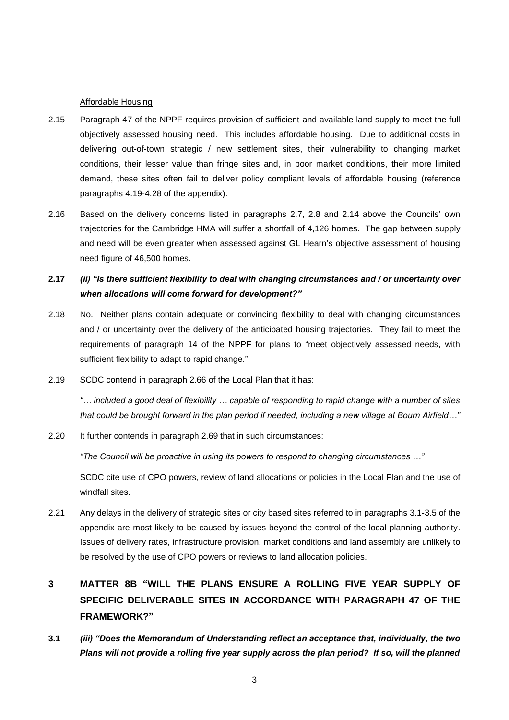#### Affordable Housing

- 2.15 Paragraph 47 of the NPPF requires provision of sufficient and available land supply to meet the full objectively assessed housing need. This includes affordable housing. Due to additional costs in delivering out-of-town strategic / new settlement sites, their vulnerability to changing market conditions, their lesser value than fringe sites and, in poor market conditions, their more limited demand, these sites often fail to deliver policy compliant levels of affordable housing (reference paragraphs 4.19-4.28 of the appendix).
- 2.16 Based on the delivery concerns listed in paragraphs 2.7, 2.8 and 2.14 above the Councils' own trajectories for the Cambridge HMA will suffer a shortfall of 4,126 homes. The gap between supply and need will be even greater when assessed against GL Hearn's objective assessment of housing need figure of 46,500 homes.

# **2.17** *(ii) "Is there sufficient flexibility to deal with changing circumstances and / or uncertainty over when allocations will come forward for development?"*

- 2.18 No. Neither plans contain adequate or convincing flexibility to deal with changing circumstances and / or uncertainty over the delivery of the anticipated housing trajectories. They fail to meet the requirements of paragraph 14 of the NPPF for plans to "meet objectively assessed needs, with sufficient flexibility to adapt to rapid change."
- 2.19 SCDC contend in paragraph 2.66 of the Local Plan that it has:

*"… included a good deal of flexibility … capable of responding to rapid change with a number of sites that could be brought forward in the plan period if needed, including a new village at Bourn Airfield…"*

2.20 It further contends in paragraph 2.69 that in such circumstances:

*"The Council will be proactive in using its powers to respond to changing circumstances …"*

SCDC cite use of CPO powers, review of land allocations or policies in the Local Plan and the use of windfall sites.

2.21 Any delays in the delivery of strategic sites or city based sites referred to in paragraphs 3.1-3.5 of the appendix are most likely to be caused by issues beyond the control of the local planning authority. Issues of delivery rates, infrastructure provision, market conditions and land assembly are unlikely to be resolved by the use of CPO powers or reviews to land allocation policies.

# **3 MATTER 8B "WILL THE PLANS ENSURE A ROLLING FIVE YEAR SUPPLY OF SPECIFIC DELIVERABLE SITES IN ACCORDANCE WITH PARAGRAPH 47 OF THE FRAMEWORK?"**

**3.1** *(iii) "Does the Memorandum of Understanding reflect an acceptance that, individually, the two Plans will not provide a rolling five year supply across the plan period? If so, will the planned*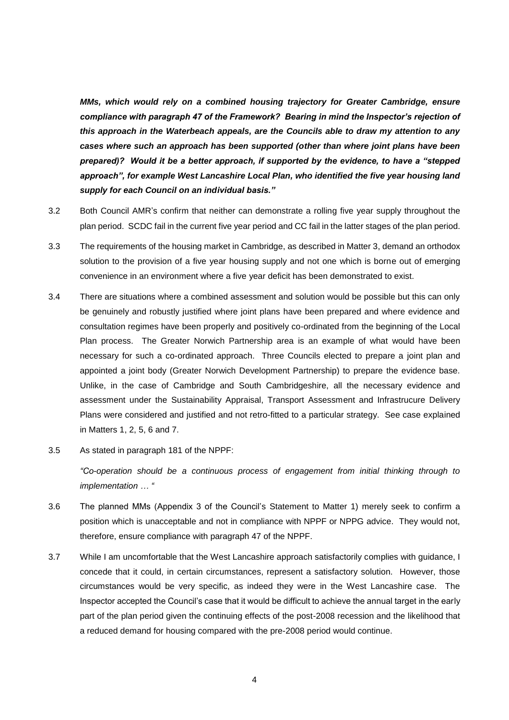*MMs, which would rely on a combined housing trajectory for Greater Cambridge, ensure compliance with paragraph 47 of the Framework? Bearing in mind the Inspector's rejection of this approach in the Waterbeach appeals, are the Councils able to draw my attention to any cases where such an approach has been supported (other than where joint plans have been prepared)? Would it be a better approach, if supported by the evidence, to have a "stepped approach", for example West Lancashire Local Plan, who identified the five year housing land supply for each Council on an individual basis."*

- 3.2 Both Council AMR's confirm that neither can demonstrate a rolling five year supply throughout the plan period. SCDC fail in the current five year period and CC fail in the latter stages of the plan period.
- 3.3 The requirements of the housing market in Cambridge, as described in Matter 3, demand an orthodox solution to the provision of a five year housing supply and not one which is borne out of emerging convenience in an environment where a five year deficit has been demonstrated to exist.
- 3.4 There are situations where a combined assessment and solution would be possible but this can only be genuinely and robustly justified where joint plans have been prepared and where evidence and consultation regimes have been properly and positively co-ordinated from the beginning of the Local Plan process. The Greater Norwich Partnership area is an example of what would have been necessary for such a co-ordinated approach. Three Councils elected to prepare a joint plan and appointed a joint body (Greater Norwich Development Partnership) to prepare the evidence base. Unlike, in the case of Cambridge and South Cambridgeshire, all the necessary evidence and assessment under the Sustainability Appraisal, Transport Assessment and Infrastrucure Delivery Plans were considered and justified and not retro-fitted to a particular strategy. See case explained in Matters 1, 2, 5, 6 and 7.
- 3.5 As stated in paragraph 181 of the NPPF:

*"Co-operation should be a continuous process of engagement from initial thinking through to implementation … "*

- 3.6 The planned MMs (Appendix 3 of the Council's Statement to Matter 1) merely seek to confirm a position which is unacceptable and not in compliance with NPPF or NPPG advice. They would not, therefore, ensure compliance with paragraph 47 of the NPPF.
- 3.7 While I am uncomfortable that the West Lancashire approach satisfactorily complies with guidance, I concede that it could, in certain circumstances, represent a satisfactory solution. However, those circumstances would be very specific, as indeed they were in the West Lancashire case. The Inspector accepted the Council's case that it would be difficult to achieve the annual target in the early part of the plan period given the continuing effects of the post-2008 recession and the likelihood that a reduced demand for housing compared with the pre-2008 period would continue.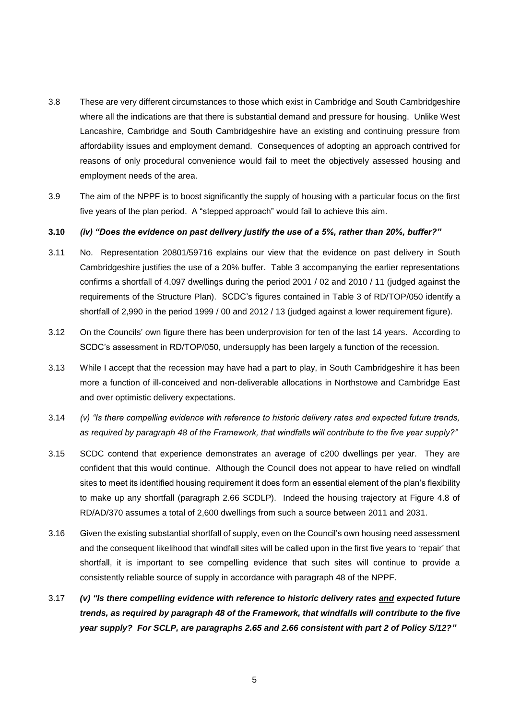- 3.8 These are very different circumstances to those which exist in Cambridge and South Cambridgeshire where all the indications are that there is substantial demand and pressure for housing. Unlike West Lancashire, Cambridge and South Cambridgeshire have an existing and continuing pressure from affordability issues and employment demand. Consequences of adopting an approach contrived for reasons of only procedural convenience would fail to meet the objectively assessed housing and employment needs of the area.
- 3.9 The aim of the NPPF is to boost significantly the supply of housing with a particular focus on the first five years of the plan period. A "stepped approach" would fail to achieve this aim.

#### **3.10** *(iv) "Does the evidence on past delivery justify the use of a 5%, rather than 20%, buffer?"*

- 3.11 No. Representation 20801/59716 explains our view that the evidence on past delivery in South Cambridgeshire justifies the use of a 20% buffer. Table 3 accompanying the earlier representations confirms a shortfall of 4,097 dwellings during the period 2001 / 02 and 2010 / 11 (judged against the requirements of the Structure Plan). SCDC's figures contained in Table 3 of RD/TOP/050 identify a shortfall of 2,990 in the period 1999 / 00 and 2012 / 13 (judged against a lower requirement figure).
- 3.12 On the Councils' own figure there has been underprovision for ten of the last 14 years. According to SCDC's assessment in RD/TOP/050, undersupply has been largely a function of the recession.
- 3.13 While I accept that the recession may have had a part to play, in South Cambridgeshire it has been more a function of ill-conceived and non-deliverable allocations in Northstowe and Cambridge East and over optimistic delivery expectations.
- 3.14 *(v) "Is there compelling evidence with reference to historic delivery rates and expected future trends, as required by paragraph 48 of the Framework, that windfalls will contribute to the five year supply?"*
- 3.15 SCDC contend that experience demonstrates an average of c200 dwellings per year. They are confident that this would continue. Although the Council does not appear to have relied on windfall sites to meet its identified housing requirement it does form an essential element of the plan's flexibility to make up any shortfall (paragraph 2.66 SCDLP). Indeed the housing trajectory at Figure 4.8 of RD/AD/370 assumes a total of 2,600 dwellings from such a source between 2011 and 2031.
- 3.16 Given the existing substantial shortfall of supply, even on the Council's own housing need assessment and the consequent likelihood that windfall sites will be called upon in the first five years to 'repair' that shortfall, it is important to see compelling evidence that such sites will continue to provide a consistently reliable source of supply in accordance with paragraph 48 of the NPPF.
- 3.17 *(v) "Is there compelling evidence with reference to historic delivery rates and expected future trends, as required by paragraph 48 of the Framework, that windfalls will contribute to the five year supply? For SCLP, are paragraphs 2.65 and 2.66 consistent with part 2 of Policy S/12?"*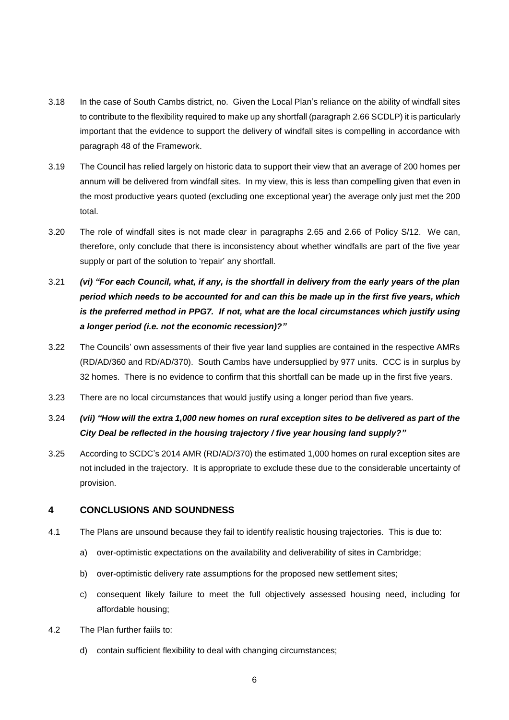- 3.18 In the case of South Cambs district, no. Given the Local Plan's reliance on the ability of windfall sites to contribute to the flexibility required to make up any shortfall (paragraph 2.66 SCDLP) it is particularly important that the evidence to support the delivery of windfall sites is compelling in accordance with paragraph 48 of the Framework.
- 3.19 The Council has relied largely on historic data to support their view that an average of 200 homes per annum will be delivered from windfall sites. In my view, this is less than compelling given that even in the most productive years quoted (excluding one exceptional year) the average only just met the 200 total.
- 3.20 The role of windfall sites is not made clear in paragraphs 2.65 and 2.66 of Policy S/12. We can, therefore, only conclude that there is inconsistency about whether windfalls are part of the five year supply or part of the solution to 'repair' any shortfall.
- 3.21 *(vi) "For each Council, what, if any, is the shortfall in delivery from the early years of the plan period which needs to be accounted for and can this be made up in the first five years, which is the preferred method in PPG7. If not, what are the local circumstances which justify using a longer period (i.e. not the economic recession)?"*
- 3.22 The Councils' own assessments of their five year land supplies are contained in the respective AMRs (RD/AD/360 and RD/AD/370). South Cambs have undersupplied by 977 units. CCC is in surplus by 32 homes. There is no evidence to confirm that this shortfall can be made up in the first five years.
- 3.23 There are no local circumstances that would justify using a longer period than five years.
- 3.24 *(vii) "How will the extra 1,000 new homes on rural exception sites to be delivered as part of the City Deal be reflected in the housing trajectory / five year housing land supply?"*
- 3.25 According to SCDC's 2014 AMR (RD/AD/370) the estimated 1,000 homes on rural exception sites are not included in the trajectory. It is appropriate to exclude these due to the considerable uncertainty of provision.

### **4 CONCLUSIONS AND SOUNDNESS**

- 4.1 The Plans are unsound because they fail to identify realistic housing trajectories. This is due to:
	- a) over-optimistic expectations on the availability and deliverability of sites in Cambridge;
	- b) over-optimistic delivery rate assumptions for the proposed new settlement sites;
	- c) consequent likely failure to meet the full objectively assessed housing need, including for affordable housing;
- 4.2 The Plan further faiils to:
	- d) contain sufficient flexibility to deal with changing circumstances;